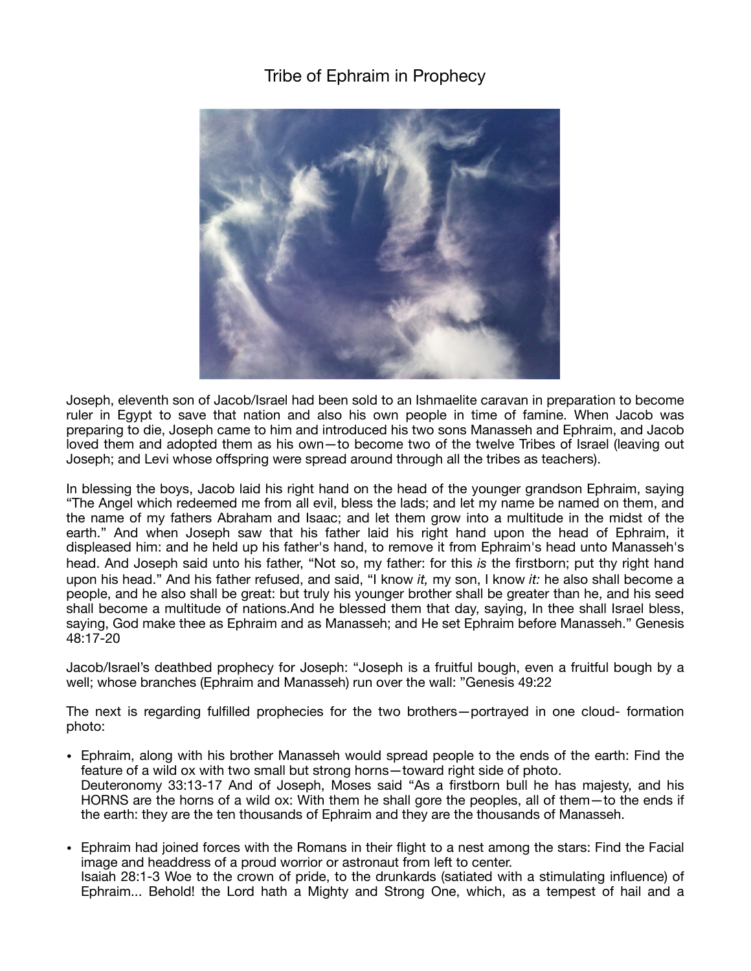## Tribe of Ephraim in Prophecy



Joseph, eleventh son of Jacob/Israel had been sold to an Ishmaelite caravan in preparation to become ruler in Egypt to save that nation and also his own people in time of famine. When Jacob was preparing to die, Joseph came to him and introduced his two sons Manasseh and Ephraim, and Jacob loved them and adopted them as his own—to become two of the twelve Tribes of Israel (leaving out Joseph; and Levi whose offspring were spread around through all the tribes as teachers).

In blessing the boys, Jacob laid his right hand on the head of the younger grandson Ephraim, saying "The Angel which redeemed me from all evil, bless the lads; and let my name be named on them, and the name of my fathers Abraham and Isaac; and let them grow into a multitude in the midst of the earth." And when Joseph saw that his father laid his right hand upon the head of Ephraim, it displeased him: and he held up his father's hand, to remove it from Ephraim's head unto Manasseh's head. And Joseph said unto his father, "Not so, my father: for this *is* the firstborn; put thy right hand upon his head." And his father refused, and said, "I know *it,* my son, I know *it:* he also shall become a people, and he also shall be great: but truly his younger brother shall be greater than he, and his seed shall become a multitude of nations.And he blessed them that day, saying, In thee shall Israel bless, saying, God make thee as Ephraim and as Manasseh; and He set Ephraim before Manasseh." Genesis 48:17-20

Jacob/Israel's deathbed prophecy for Joseph: "Joseph is a fruitful bough, even a fruitful bough by a well; whose branches (Ephraim and Manasseh) run over the wall: "Genesis 49:22

The next is regarding fulfilled prophecies for the two brothers—portrayed in one cloud- formation photo:

- Ephraim, along with his brother Manasseh would spread people to the ends of the earth: Find the feature of a wild ox with two small but strong horns—toward right side of photo. Deuteronomy 33:13-17 And of Joseph, Moses said "As a firstborn bull he has majesty, and his HORNS are the horns of a wild ox: With them he shall gore the peoples, all of them—to the ends if the earth: they are the ten thousands of Ephraim and they are the thousands of Manasseh.
- Ephraim had joined forces with the Romans in their flight to a nest among the stars: Find the Facial image and headdress of a proud worrior or astronaut from left to center. Isaiah 28:1-3 Woe to the crown of pride, to the drunkards (satiated with a stimulating influence) of Ephraim... Behold! the Lord hath a Mighty and Strong One, which, as a tempest of hail and a